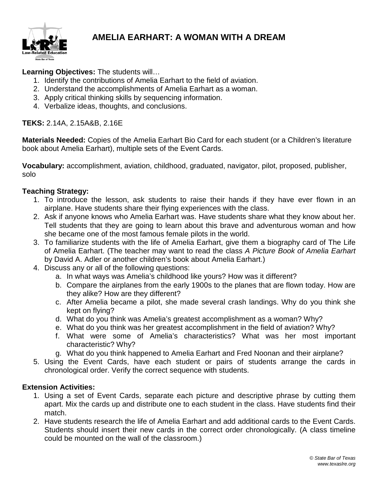

## **AMELIA EARHART: A WOMAN WITH A DREAM**

#### **Learning Objectives:** The students will…

- 1. Identify the contributions of Amelia Earhart to the field of aviation.
- 2. Understand the accomplishments of Amelia Earhart as a woman.
- 3. Apply critical thinking skills by sequencing information.
- 4. Verbalize ideas, thoughts, and conclusions.

#### **TEKS:** 2.14A, 2.15A&B, 2.16E

**Materials Needed:** Copies of the Amelia Earhart Bio Card for each student (or a Children's literature book about Amelia Earhart), multiple sets of the Event Cards.

**Vocabulary:** accomplishment, aviation, childhood, graduated, navigator, pilot, proposed, publisher, solo

#### **Teaching Strategy:**

- 1. To introduce the lesson, ask students to raise their hands if they have ever flown in an airplane. Have students share their flying experiences with the class.
- 2. Ask if anyone knows who Amelia Earhart was. Have students share what they know about her. Tell students that they are going to learn about this brave and adventurous woman and how she became one of the most famous female pilots in the world.
- 3. To familiarize students with the life of Amelia Earhart, give them a biography card of The Life of Amelia Earhart. (The teacher may want to read the class *A Picture Book of Amelia Earhart* by David A. Adler or another children's book about Amelia Earhart.)
- 4. Discuss any or all of the following questions:
	- a. In what ways was Amelia's childhood like yours? How was it different?
	- b. Compare the airplanes from the early 1900s to the planes that are flown today. How are they alike? How are they different?
	- c. After Amelia became a pilot, she made several crash landings. Why do you think she kept on flying?
	- d. What do you think was Amelia's greatest accomplishment as a woman? Why?
	- e. What do you think was her greatest accomplishment in the field of aviation? Why?
	- f. What were some of Amelia's characteristics? What was her most important characteristic? Why?
	- g. What do you think happened to Amelia Earhart and Fred Noonan and their airplane?
- 5. Using the Event Cards, have each student or pairs of students arrange the cards in chronological order. Verify the correct sequence with students.

#### **Extension Activities:**

- 1. Using a set of Event Cards, separate each picture and descriptive phrase by cutting them apart. Mix the cards up and distribute one to each student in the class. Have students find their match.
- 2. Have students research the life of Amelia Earhart and add additional cards to the Event Cards. Students should insert their new cards in the correct order chronologically. (A class timeline could be mounted on the wall of the classroom.)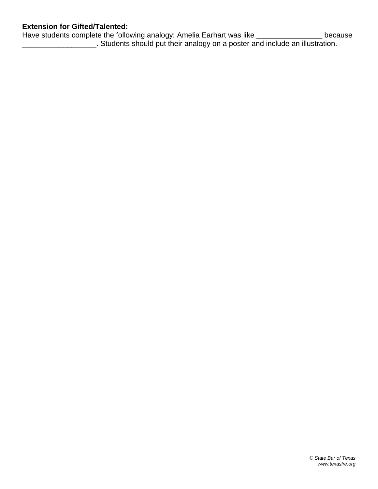### **Extension for Gifted/Talented:**

Have students complete the following analogy: Amelia Earhart was like \_\_\_\_\_\_\_\_\_\_\_\_\_\_\_\_\_\_ because \_\_\_\_\_\_\_\_\_\_\_\_\_\_\_\_\_\_. Students should put their analogy on a poster and include an illustration.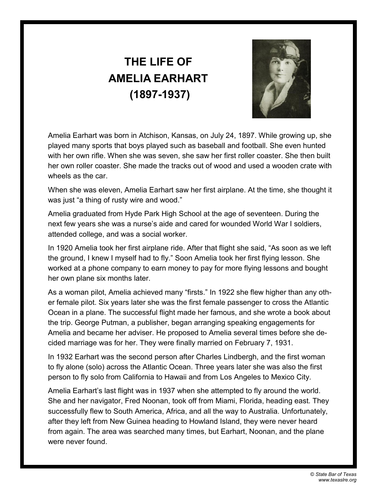# **THE LIFE OF AMELIA EARHART (1897-1937)**



Amelia Earhart was born in Atchison, Kansas, on July 24, 1897. While growing up, she played many sports that boys played such as baseball and football. She even hunted with her own rifle. When she was seven, she saw her first roller coaster. She then built her own roller coaster. She made the tracks out of wood and used a wooden crate with wheels as the car.

When she was eleven, Amelia Earhart saw her first airplane. At the time, she thought it was just "a thing of rusty wire and wood."

Amelia graduated from Hyde Park High School at the age of seventeen. During the next few years she was a nurse's aide and cared for wounded World War I soldiers, attended college, and was a social worker.

In 1920 Amelia took her first airplane ride. After that flight she said, "As soon as we left the ground, I knew I myself had to fly." Soon Amelia took her first flying lesson. She worked at a phone company to earn money to pay for more flying lessons and bought her own plane six months later.

As a woman pilot, Amelia achieved many "firsts." In 1922 she flew higher than any other female pilot. Six years later she was the first female passenger to cross the Atlantic Ocean in a plane. The successful flight made her famous, and she wrote a book about the trip. George Putman, a publisher, began arranging speaking engagements for Amelia and became her adviser. He proposed to Amelia several times before she decided marriage was for her. They were finally married on February 7, 1931.

In 1932 Earhart was the second person after Charles Lindbergh, and the first woman to fly alone (solo) across the Atlantic Ocean. Three years later she was also the first person to fly solo from California to Hawaii and from Los Angeles to Mexico City.

Amelia Earhart's last flight was in 1937 when she attempted to fly around the world. She and her navigator, Fred Noonan, took off from Miami, Florida, heading east. They successfully flew to South America, Africa, and all the way to Australia. Unfortunately, after they left from New Guinea heading to Howland Island, they were never heard from again. The area was searched many times, but Earhart, Noonan, and the plane were never found.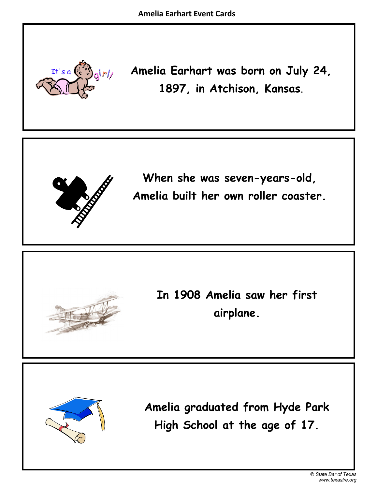

**Amelia Earhart was born on July 24, 1897, in Atchison, Kansas**.



**When she was seven-years-old, Amelia built her own roller coaster.**



**In 1908 Amelia saw her first airplane.**



**Amelia graduated from Hyde Park High School at the age of 17.**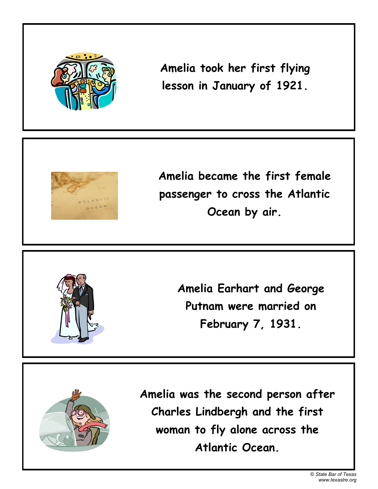

**Amelia took her first flying lesson in January of 1921.**



**Amelia became the first female passenger to cross the Atlantic Ocean by air.**



**Amelia Earhart and George Putnam were married on February 7, 1931.**



**Amelia was the second person after Charles Lindbergh and the first woman to fly alone across the Atlantic Ocean.**